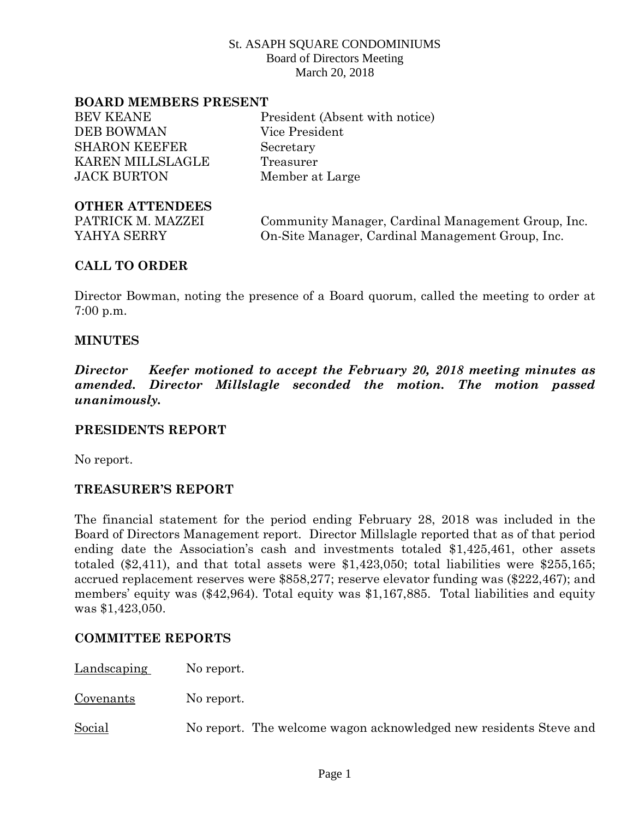#### **BOARD MEMBERS PRESENT**

| <b>BEV KEANE</b>        |
|-------------------------|
| <b>DEB BOWMAN</b>       |
| <b>SHARON KEEFER</b>    |
| <b>KAREN MILLSLAGLE</b> |
| JACK BURTON             |

President (Absent with notice) Vice President Secretary Treasurer Member at Large

### **OTHER ATTENDEES**

PATRICK M. MAZZEI Community Manager, Cardinal Management Group, Inc. YAHYA SERRY On-Site Manager, Cardinal Management Group, Inc.

## **CALL TO ORDER**

Director Bowman, noting the presence of a Board quorum, called the meeting to order at 7:00 p.m.

### **MINUTES**

*Director Keefer motioned to accept the February 20, 2018 meeting minutes as amended. Director Millslagle seconded the motion. The motion passed unanimously.*

#### **PRESIDENTS REPORT**

No report.

## **TREASURER'S REPORT**

The financial statement for the period ending February 28, 2018 was included in the Board of Directors Management report. Director Millslagle reported that as of that period ending date the Association's cash and investments totaled \$1,425,461, other assets totaled (\$2,411), and that total assets were \$1,423,050; total liabilities were \$255,165; accrued replacement reserves were \$858,277; reserve elevator funding was (\$222,467); and members' equity was (\$42,964). Total equity was \$1,167,885. Total liabilities and equity was \$1,423,050.

## **COMMITTEE REPORTS**

Landscaping No report.

Covenants No report.

Social No report. The welcome wagon acknowledged new residents Steve and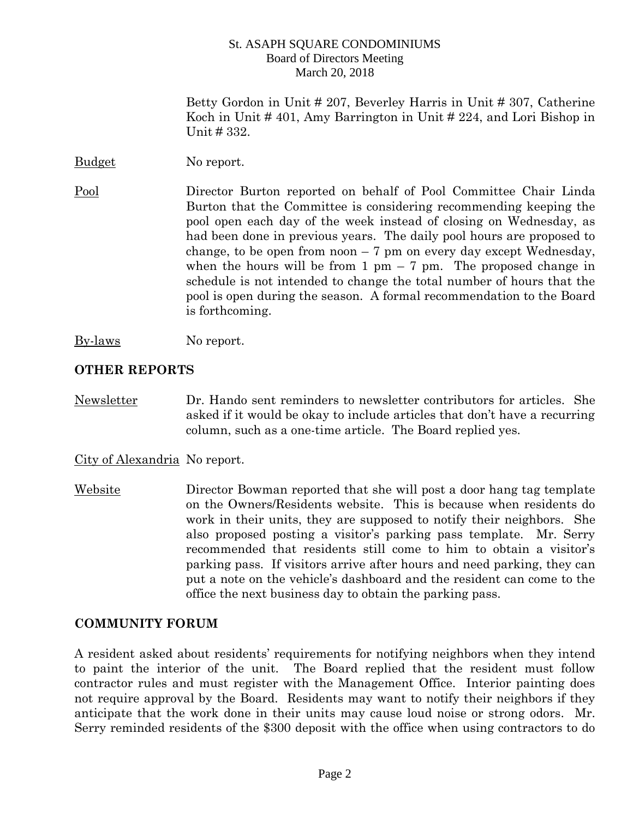Betty Gordon in Unit # 207, Beverley Harris in Unit # 307, Catherine Koch in Unit # 401, Amy Barrington in Unit # 224, and Lori Bishop in Unit # 332.

Budget No report.

Pool Director Burton reported on behalf of Pool Committee Chair Linda Burton that the Committee is considering recommending keeping the pool open each day of the week instead of closing on Wednesday, as had been done in previous years. The daily pool hours are proposed to change, to be open from noon  $-7$  pm on every day except Wednesday, when the hours will be from 1 pm  $-7$  pm. The proposed change in schedule is not intended to change the total number of hours that the pool is open during the season. A formal recommendation to the Board is forthcoming.

By-laws No report.

## **OTHER REPORTS**

Newsletter Dr. Hando sent reminders to newsletter contributors for articles. She asked if it would be okay to include articles that don't have a recurring column, such as a one-time article. The Board replied yes.

City of Alexandria No report.

Website Director Bowman reported that she will post a door hang tag template on the Owners/Residents website. This is because when residents do work in their units, they are supposed to notify their neighbors. She also proposed posting a visitor's parking pass template. Mr. Serry recommended that residents still come to him to obtain a visitor's parking pass. If visitors arrive after hours and need parking, they can put a note on the vehicle's dashboard and the resident can come to the office the next business day to obtain the parking pass.

# **COMMUNITY FORUM**

A resident asked about residents' requirements for notifying neighbors when they intend to paint the interior of the unit. The Board replied that the resident must follow contractor rules and must register with the Management Office. Interior painting does not require approval by the Board. Residents may want to notify their neighbors if they anticipate that the work done in their units may cause loud noise or strong odors. Mr. Serry reminded residents of the \$300 deposit with the office when using contractors to do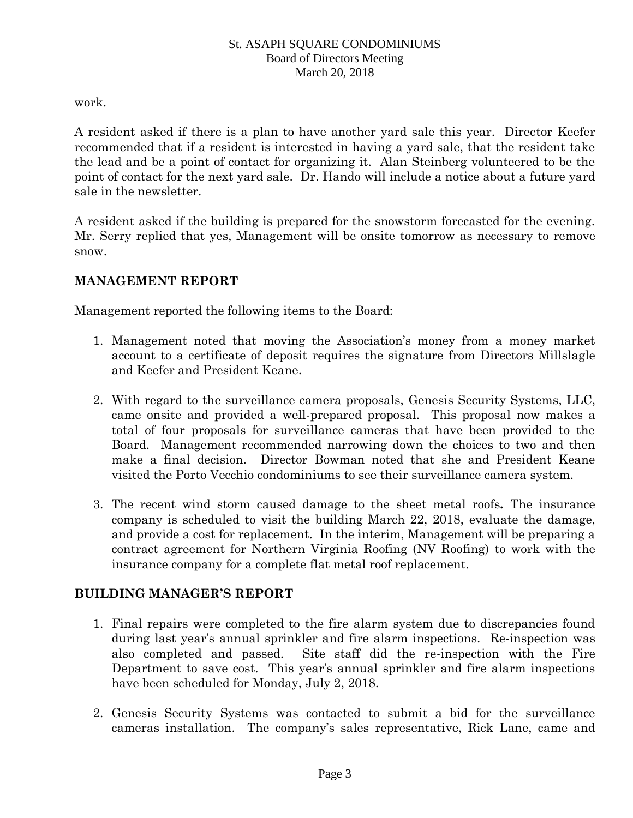work.

A resident asked if there is a plan to have another yard sale this year. Director Keefer recommended that if a resident is interested in having a yard sale, that the resident take the lead and be a point of contact for organizing it. Alan Steinberg volunteered to be the point of contact for the next yard sale. Dr. Hando will include a notice about a future yard sale in the newsletter.

A resident asked if the building is prepared for the snowstorm forecasted for the evening. Mr. Serry replied that yes, Management will be onsite tomorrow as necessary to remove snow.

# **MANAGEMENT REPORT**

Management reported the following items to the Board:

- 1. Management noted that moving the Association's money from a money market account to a certificate of deposit requires the signature from Directors Millslagle and Keefer and President Keane.
- 2. With regard to the surveillance camera proposals, Genesis Security Systems, LLC, came onsite and provided a well-prepared proposal. This proposal now makes a total of four proposals for surveillance cameras that have been provided to the Board. Management recommended narrowing down the choices to two and then make a final decision. Director Bowman noted that she and President Keane visited the Porto Vecchio condominiums to see their surveillance camera system.
- 3. The recent wind storm caused damage to the sheet metal roofs*.* The insurance company is scheduled to visit the building March 22, 2018, evaluate the damage, and provide a cost for replacement. In the interim, Management will be preparing a contract agreement for Northern Virginia Roofing (NV Roofing) to work with the insurance company for a complete flat metal roof replacement.

# **BUILDING MANAGER'S REPORT**

- 1. Final repairs were completed to the fire alarm system due to discrepancies found during last year's annual sprinkler and fire alarm inspections. Re-inspection was also completed and passed. Site staff did the re-inspection with the Fire Department to save cost. This year's annual sprinkler and fire alarm inspections have been scheduled for Monday, July 2, 2018.
- 2. Genesis Security Systems was contacted to submit a bid for the surveillance cameras installation. The company's sales representative, Rick Lane, came and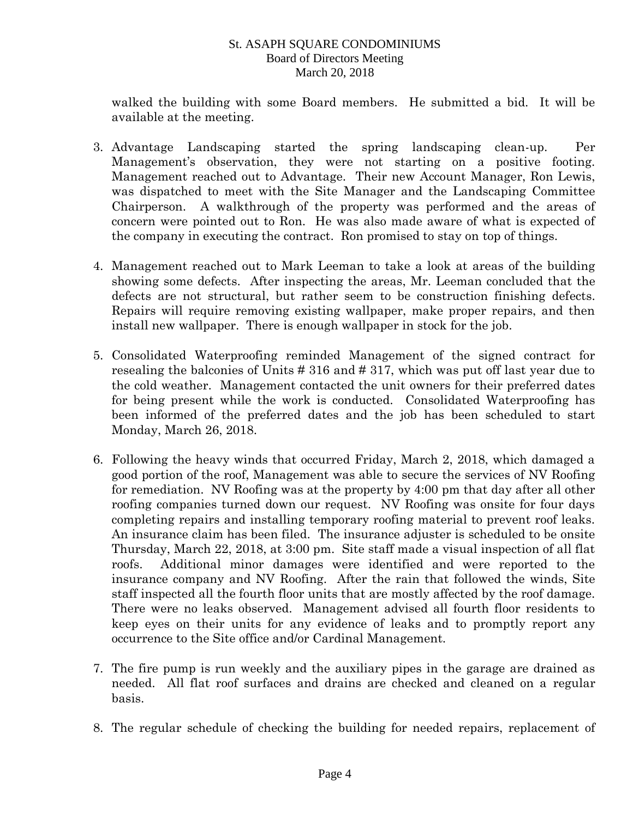walked the building with some Board members. He submitted a bid. It will be available at the meeting.

- 3. Advantage Landscaping started the spring landscaping clean-up. Per Management's observation, they were not starting on a positive footing. Management reached out to Advantage. Their new Account Manager, Ron Lewis, was dispatched to meet with the Site Manager and the Landscaping Committee Chairperson. A walkthrough of the property was performed and the areas of concern were pointed out to Ron. He was also made aware of what is expected of the company in executing the contract. Ron promised to stay on top of things.
- 4. Management reached out to Mark Leeman to take a look at areas of the building showing some defects. After inspecting the areas, Mr. Leeman concluded that the defects are not structural, but rather seem to be construction finishing defects. Repairs will require removing existing wallpaper, make proper repairs, and then install new wallpaper. There is enough wallpaper in stock for the job.
- 5. Consolidated Waterproofing reminded Management of the signed contract for resealing the balconies of Units # 316 and # 317, which was put off last year due to the cold weather. Management contacted the unit owners for their preferred dates for being present while the work is conducted. Consolidated Waterproofing has been informed of the preferred dates and the job has been scheduled to start Monday, March 26, 2018.
- 6. Following the heavy winds that occurred Friday, March 2, 2018, which damaged a good portion of the roof, Management was able to secure the services of NV Roofing for remediation. NV Roofing was at the property by 4:00 pm that day after all other roofing companies turned down our request. NV Roofing was onsite for four days completing repairs and installing temporary roofing material to prevent roof leaks. An insurance claim has been filed. The insurance adjuster is scheduled to be onsite Thursday, March 22, 2018, at 3:00 pm. Site staff made a visual inspection of all flat roofs. Additional minor damages were identified and were reported to the insurance company and NV Roofing. After the rain that followed the winds, Site staff inspected all the fourth floor units that are mostly affected by the roof damage. There were no leaks observed. Management advised all fourth floor residents to keep eyes on their units for any evidence of leaks and to promptly report any occurrence to the Site office and/or Cardinal Management.
- 7. The fire pump is run weekly and the auxiliary pipes in the garage are drained as needed. All flat roof surfaces and drains are checked and cleaned on a regular basis.
- 8. The regular schedule of checking the building for needed repairs, replacement of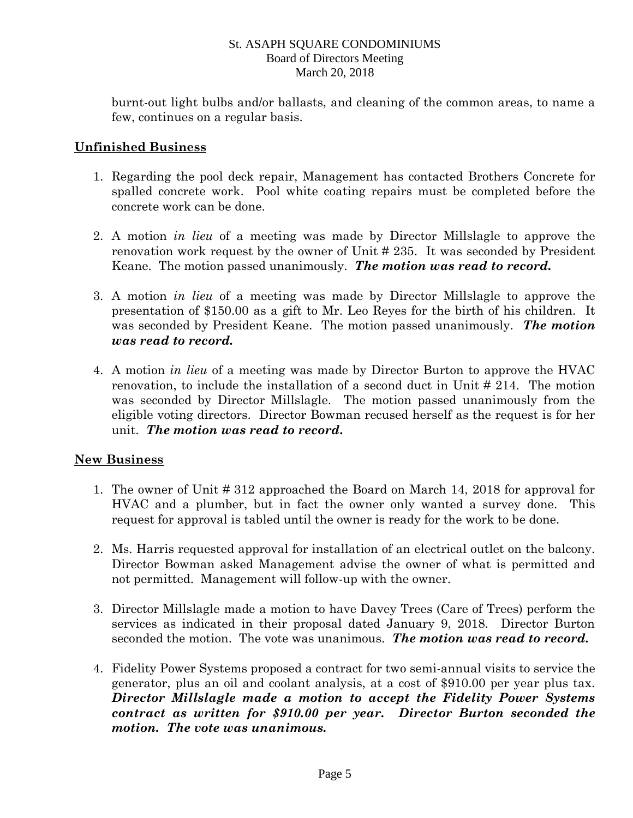burnt-out light bulbs and/or ballasts, and cleaning of the common areas, to name a few, continues on a regular basis.

## **Unfinished Business**

- 1. Regarding the pool deck repair, Management has contacted Brothers Concrete for spalled concrete work. Pool white coating repairs must be completed before the concrete work can be done.
- 2. A motion *in lieu* of a meeting was made by Director Millslagle to approve the renovation work request by the owner of Unit # 235. It was seconded by President Keane. The motion passed unanimously. *The motion was read to record.*
- 3. A motion *in lieu* of a meeting was made by Director Millslagle to approve the presentation of \$150.00 as a gift to Mr. Leo Reyes for the birth of his children. It was seconded by President Keane. The motion passed unanimously. *The motion was read to record.*
- 4. A motion *in lieu* of a meeting was made by Director Burton to approve the HVAC renovation, to include the installation of a second duct in Unit # 214. The motion was seconded by Director Millslagle. The motion passed unanimously from the eligible voting directors. Director Bowman recused herself as the request is for her unit. *The motion was read to record***.**

# **New Business**

- 1. The owner of Unit # 312 approached the Board on March 14, 2018 for approval for HVAC and a plumber, but in fact the owner only wanted a survey done. This request for approval is tabled until the owner is ready for the work to be done.
- 2. Ms. Harris requested approval for installation of an electrical outlet on the balcony. Director Bowman asked Management advise the owner of what is permitted and not permitted. Management will follow-up with the owner.
- 3. Director Millslagle made a motion to have Davey Trees (Care of Trees) perform the services as indicated in their proposal dated January 9, 2018. Director Burton seconded the motion. The vote was unanimous. *The motion was read to record.*
- 4. Fidelity Power Systems proposed a contract for two semi-annual visits to service the generator, plus an oil and coolant analysis, at a cost of \$910.00 per year plus tax. *Director Millslagle made a motion to accept the Fidelity Power Systems contract as written for \$910.00 per year. Director Burton seconded the motion. The vote was unanimous.*